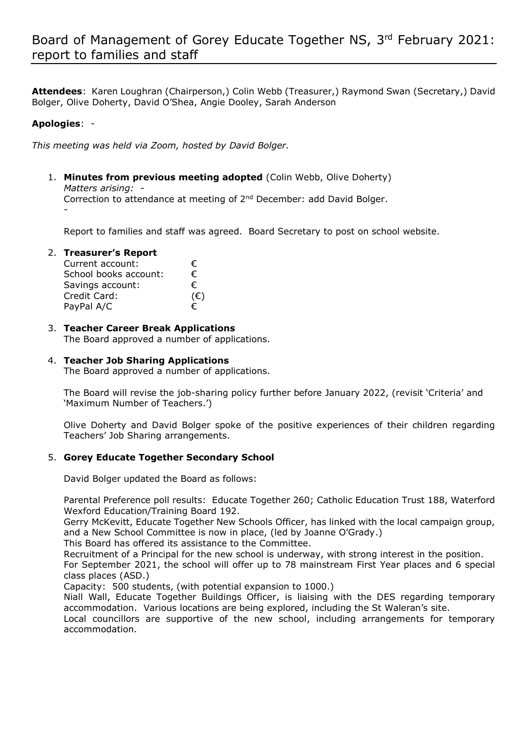**Attendees**: Karen Loughran (Chairperson,) Colin Webb (Treasurer,) Raymond Swan (Secretary,) David Bolger, Olive Doherty, David O'Shea, Angie Dooley, Sarah Anderson

# **Apologies**: -

*This meeting was held via Zoom, hosted by David Bolger.*

1. **Minutes from previous meeting adopted** (Colin Webb, Olive Doherty) *Matters arising: -*  Correction to attendance at meeting of 2<sup>nd</sup> December: add David Bolger. -

Report to families and staff was agreed. Board Secretary to post on school website.

### 2. **Treasurer's Report**

| Current account:      | €            |
|-----------------------|--------------|
| School books account: | €            |
| Savings account:      | €            |
| Credit Card:          | $(\epsilon)$ |
| PayPal A/C            | €            |

## 3. **Teacher Career Break Applications**

The Board approved a number of applications.

### 4. **Teacher Job Sharing Applications**

The Board approved a number of applications.

The Board will revise the job-sharing policy further before January 2022, (revisit 'Criteria' and 'Maximum Number of Teachers.')

Olive Doherty and David Bolger spoke of the positive experiences of their children regarding Teachers' Job Sharing arrangements.

### 5. **Gorey Educate Together Secondary School**

David Bolger updated the Board as follows:

Parental Preference poll results: Educate Together 260; Catholic Education Trust 188, Waterford Wexford Education/Training Board 192.

Gerry McKevitt, Educate Together New Schools Officer, has linked with the local campaign group, and a New School Committee is now in place, (led by Joanne O'Grady.)

This Board has offered its assistance to the Committee.

Recruitment of a Principal for the new school is underway, with strong interest in the position.

For September 2021, the school will offer up to 78 mainstream First Year places and 6 special class places (ASD.)

Capacity: 500 students, (with potential expansion to 1000.)

Niall Wall, Educate Together Buildings Officer, is liaising with the DES regarding temporary accommodation. Various locations are being explored, including the St Waleran's site.

Local councillors are supportive of the new school, including arrangements for temporary accommodation.